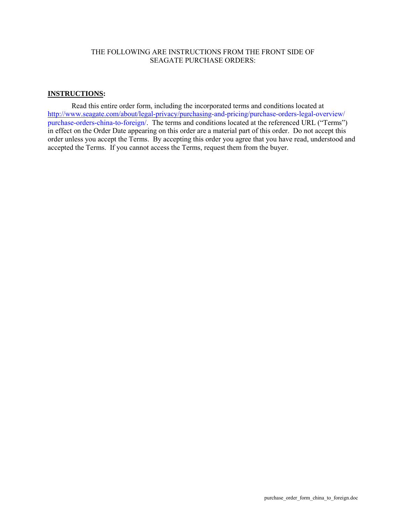# THE FOLLOWING ARE INSTRUCTIONS FROM THE FRONT SIDE OF SEAGATE PURCHASE ORDERS:

## **INSTRUCTIONS :**

Read this entire order form, including the incorporated terms and conditions located at [http://www.seagate.com/about/legal-privacy/purchasing-and-pricing/purchase-orders-legal-overview/](http://www.seagate.com/about/legal-privacy/purchasing-and-pricing/purchase-orders-legal-overview/purchase-orders-china-to-foreign/) purchase-orders-china-to-foreign/. The terms and conditions located at the referenced URL ("Terms") in effect on the Order Date appearing on this order are a material part of this order. Do not accept this order unless you accept the Terms. By accepting this order you agree that you have read, understood and accepted the Terms. If you cannot access the Terms, request them from the buyer.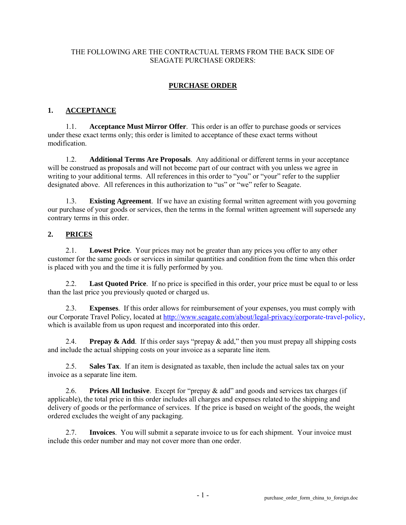# THE FOLLOWING ARE THE CONTRACTUAL TERMS FROM THE BACK SIDE OF SEAGATE PURCHASE ORDERS:

# **PURCHASE ORDER**

#### **1. ACCEPTANCE**

1.1. **Acceptance Must Mirror Offer**. This order is an offer to purchase goods or services under these exact terms only; this order is limited to acceptance of these exact terms without modification.

1.2. **Additional Terms Are Proposals**. Any additional or different terms in your acceptance will be construed as proposals and will not become part of our contract with you unless we agree in writing to your additional terms. All references in this order to "you" or "your" refer to the supplier designated above. All references in this authorization to "us" or "we" refer to Seagate.

1.3. **Existing Agreement**. If we have an existing formal written agreement with you governing our purchase of your goods or services, then the terms in the formal written agreement will supersede any contrary terms in this order.

#### **2. PRICES**

2.1. **Lowest Price**. Your prices may not be greater than any prices you offer to any other customer for the same goods or services in similar quantities and condition from the time when this order is placed with you and the time it is fully performed by you.

2.2. **Last Quoted Price**. If no price is specified in this order, your price must be equal to or less than the last price you previously quoted or charged us.

2.3. **Expenses**. If this order allows for reimbursement of your expenses, you must comply with our Corporate Travel Policy, located at [http://www.seagate.com/about/legal-privacy/corporate-travel-policy,](http://www.seagate.com/about/legal-privacy/corporate-travel-policy/) which is available from us upon request and incorporated into this order.

2.4. **Prepay & Add**. If this order says "prepay & add," then you must prepay all shipping costs and include the actual shipping costs on your invoice as a separate line item.

2.5. **Sales Tax**. If an item is designated as taxable, then include the actual sales tax on your invoice as a separate line item.

2.6. **Prices All Inclusive**. Except for "prepay & add" and goods and services tax charges (if applicable), the total price in this order includes all charges and expenses related to the shipping and delivery of goods or the performance of services. If the price is based on weight of the goods, the weight ordered excludes the weight of any packaging.

2.7. **Invoices**. You will submit a separate invoice to us for each shipment. Your invoice must include this order number and may not cover more than one order.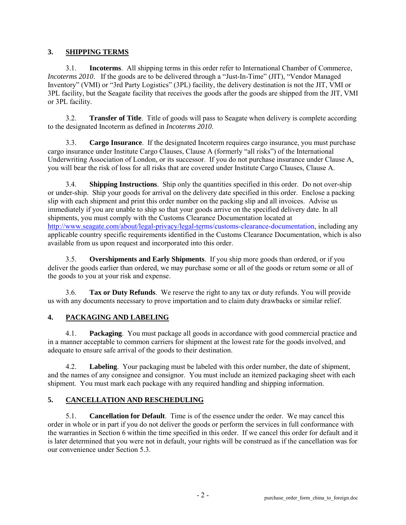#### **3. SHIPPING TERMS**

3.1. **Incoterms**. All shipping terms in this order refer to International Chamber of Commerce, *Incoterms 2010*. If the goods are to be delivered through a "Just-In-Time" (JIT), "Vendor Managed Inventory" (VMI) or "3rd Party Logistics" (3PL) facility, the delivery destination is not the JIT, VMI or 3PL facility, but the Seagate facility that receives the goods after the goods are shipped from the JIT, VMI or 3PL facility.

3.2. **Transfer of Title**. Title of goods will pass to Seagate when delivery is complete according to the designated Incoterm as defined in *Incoterms 2010*.

3.3. **Cargo Insurance**. If the designated Incoterm requires cargo insurance, you must purchase cargo insurance under Institute Cargo Clauses, Clause A (formerly "all risks") of the International Underwriting Association of London, or its successor. If you do not purchase insurance under Clause A, you will bear the risk of loss for all risks that are covered under Institute Cargo Clauses, Clause A.

3.4. **Shipping Instructions**. Ship only the quantities specified in this order. Do not over-ship or under-ship. Ship your goods for arrival on the delivery date specified in this order. Enclose a packing slip with each shipment and print this order number on the packing slip and all invoices. Advise us immediately if you are unable to ship so that your goods arrive on the specified delivery date. In all shipments, you must comply with the Customs Clearance Documentation located at [http://www.seagate.com/about/legal-privacy/legal-term](http://www.seagate.com/about/legal-privacy/legal-terms/customs-clearance-documentation/)s/customs-clearance-documentation, including any applicable country specific requirements identified in the Customs Clearance Documentation, which is also available from us upon request and incorporated into this order.

3.5. **Overshipments and Early Shipments**. If you ship more goods than ordered, or if you deliver the goods earlier than ordered, we may purchase some or all of the goods or return some or all of the goods to you at your risk and expense.

3.6. **Tax or Duty Refunds**. We reserve the right to any tax or duty refunds. You will provide us with any documents necessary to prove importation and to claim duty drawbacks or similar relief.

## **4. PACKAGING AND LABELING**

4.1. **Packaging**. You must package all goods in accordance with good commercial practice and in a manner acceptable to common carriers for shipment at the lowest rate for the goods involved, and adequate to ensure safe arrival of the goods to their destination.

4.2. **Labeling**. Your packaging must be labeled with this order number, the date of shipment, and the names of any consignee and consignor. You must include an itemized packaging sheet with each shipment. You must mark each package with any required handling and shipping information.

## **5. CANCELLATION AND RESCHEDULING**

5.1. **Cancellation for Default**. Time is of the essence under the order. We may cancel this order in whole or in part if you do not deliver the goods or perform the services in full conformance with the warranties in Section 6 within the time specified in this order. If we cancel this order for default and it is later determined that you were not in default, your rights will be construed as if the cancellation was for our convenience under Section 5.3.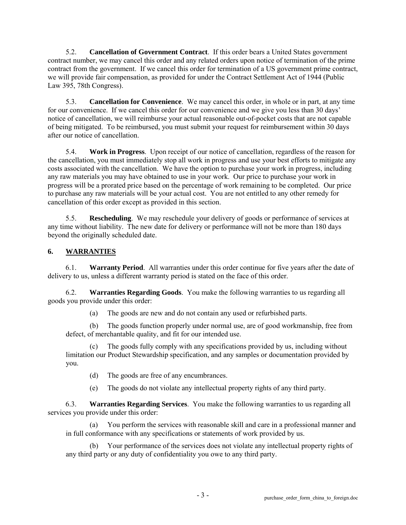5.2. **Cancellation of Government Contract**. If this order bears a United States government contract number, we may cancel this order and any related orders upon notice of termination of the prime contract from the government. If we cancel this order for termination of a US government prime contract, we will provide fair compensation, as provided for under the Contract Settlement Act of 1944 (Public Law 395, 78th Congress).

5.3. **Cancellation for Convenience**. We may cancel this order, in whole or in part, at any time for our convenience. If we cancel this order for our convenience and we give you less than 30 days' notice of cancellation, we will reimburse your actual reasonable out-of-pocket costs that are not capable of being mitigated. To be reimbursed, you must submit your request for reimbursement within 30 days after our notice of cancellation.

5.4. **Work in Progress**. Upon receipt of our notice of cancellation, regardless of the reason for the cancellation, you must immediately stop all work in progress and use your best efforts to mitigate any costs associated with the cancellation. We have the option to purchase your work in progress, including any raw materials you may have obtained to use in your work. Our price to purchase your work in progress will be a prorated price based on the percentage of work remaining to be completed. Our price to purchase any raw materials will be your actual cost. You are not entitled to any other remedy for cancellation of this order except as provided in this section.

5.5. **Rescheduling**. We may reschedule your delivery of goods or performance of services at any time without liability. The new date for delivery or performance will not be more than 180 days beyond the originally scheduled date.

#### **6. WARRANTIES**

6.1. **Warranty Period**. All warranties under this order continue for five years after the date of delivery to us, unless a different warranty period is stated on the face of this order.

6.2. **Warranties Regarding Goods**. You make the following warranties to us regarding all goods you provide under this order:

(a) The goods are new and do not contain any used or refurbished parts.

(b) The goods function properly under normal use, are of good workmanship, free from defect, of merchantable quality, and fit for our intended use.

The goods fully comply with any specifications provided by us, including without limitation our Product Stewardship specification, and any samples or documentation provided by you.

(d) The goods are free of any encumbrances.

(e) The goods do not violate any intellectual property rights of any third party.

6.3. **Warranties Regarding Services**. You make the following warranties to us regarding all services you provide under this order:

(a) You perform the services with reasonable skill and care in a professional manner and in full conformance with any specifications or statements of work provided by us.

Your performance of the services does not violate any intellectual property rights of any third party or any duty of confidentiality you owe to any third party.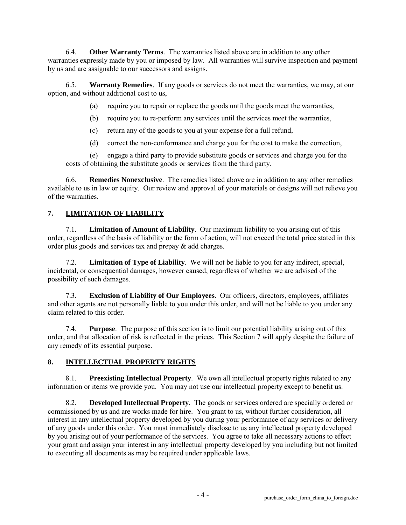6.4. **Other Warranty Terms**. The warranties listed above are in addition to any other warranties expressly made by you or imposed by law. All warranties will survive inspection and payment by us and are assignable to our successors and assigns.

6.5. **Warranty Remedies**. If any goods or services do not meet the warranties, we may, at our option, and without additional cost to us,

(a) require you to repair or replace the goods until the goods meet the warranties,

(b) require you to re-perform any services until the services meet the warranties,

(c) return any of the goods to you at your expense for a full refund,

(d) correct the non-conformance and charge you for the cost to make the correction,

(e) engage a third party to provide substitute goods or services and charge you for the costs of obtaining the substitute goods or services from the third party.

6.6. **Remedies Nonexclusive**. The remedies listed above are in addition to any other remedies available to us in law or equity. Our review and approval of your materials or designs will not relieve you of the warranties.

## **7. LIMITATION OF LIABILITY**

7.1. **Limitation of Amount of Liability**. Our maximum liability to you arising out of this order, regardless of the basis of liability or the form of action, will not exceed the total price stated in this order plus goods and services tax and prepay & add charges.

7.2. **Limitation of Type of Liability**. We will not be liable to you for any indirect, special, incidental, or consequential damages, however caused, regardless of whether we are advised of the possibility of such damages.

7.3. **Exclusion of Liability of Our Employees**. Our officers, directors, employees, affiliates and other agents are not personally liable to you under this order, and will not be liable to you under any claim related to this order.

7.4. **Purpose**. The purpose of this section is to limit our potential liability arising out of this order, and that allocation of risk is reflected in the prices. This Section 7 will apply despite the failure of any remedy of its essential purpose.

#### **8. INTELLECTUAL PROPERTY RIGHTS**

8.1. **Preexisting Intellectual Property**. We own all intellectual property rights related to any information or items we provide you. You may not use our intellectual property except to benefit us.

8.2. **Developed Intellectual Property**. The goods or services ordered are specially ordered or commissioned by us and are works made for hire. You grant to us, without further consideration, all interest in any intellectual property developed by you during your performance of any services or delivery of any goods under this order. You must immediately disclose to us any intellectual property developed by you arising out of your performance of the services. You agree to take all necessary actions to effect your grant and assign your interest in any intellectual property developed by you including but not limited to executing all documents as may be required under applicable laws.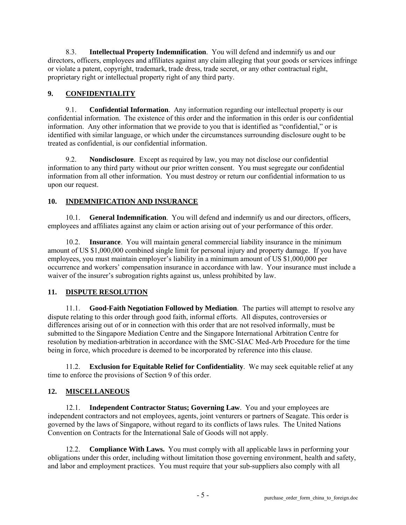8.3. **Intellectual Property Indemnification**. You will defend and indemnify us and our directors, officers, employees and affiliates against any claim alleging that your goods or services infringe or violate a patent, copyright, trademark, trade dress, trade secret, or any other contractual right, proprietary right or intellectual property right of any third party.

## **9. CONFIDENTIALITY**

9.1. **Confidential Information**. Any information regarding our intellectual property is our confidential information. The existence of this order and the information in this order is our confidential information. Any other information that we provide to you that is identified as "confidential," or is identified with similar language, or which under the circumstances surrounding disclosure ought to be treated as confidential, is our confidential information.

9.2. **Nondisclosure**. Except as required by law, you may not disclose our confidential information to any third party without our prior written consent. You must segregate our confidential information from all other information. You must destroy or return our confidential information to us upon our request.

# **10. INDEMNIFICATION AND INSURANCE**

10.1. **General Indemnification**. You will defend and indemnify us and our directors, officers, employees and affiliates against any claim or action arising out of your performance of this order.

10.2. **Insurance**. You will maintain general commercial liability insurance in the minimum amount of US \$1,000,000 combined single limit for personal injury and property damage. If you have employees, you must maintain employer's liability in a minimum amount of US \$1,000,000 per occurrence and workers' compensation insurance in accordance with law. Your insurance must include a waiver of the insurer's subrogation rights against us, unless prohibited by law.

## **11. DISPUTE RESOLUTION**

11.1. **Good-Faith Negotiation Followed by Mediation**. The parties will attempt to resolve any dispute relating to this order through good faith, informal efforts. All disputes, controversies or differences arising out of or in connection with this order that are not resolved informally, must be submitted to the Singapore Mediation Centre and the Singapore International Arbitration Centre for resolution by mediation-arbitration in accordance with the SMC-SIAC Med-Arb Procedure for the time being in force, which procedure is deemed to be incorporated by reference into this clause.

11.2. **Exclusion for Equitable Relief for Confidentiality**. We may seek equitable relief at any time to enforce the provisions of Section 9 of this order.

## **12. MISCELLANEOUS**

12.1. **Independent Contractor Status; Governing Law**. You and your employees are independent contractors and not employees, agents, joint venturers or partners of Seagate. This order is governed by the laws of Singapore, without regard to its conflicts of laws rules. The United Nations Convention on Contracts for the International Sale of Goods will not apply.

12.2. **Compliance With Laws.** You must comply with all applicable laws in performing your obligations under this order, including without limitation those governing environment, health and safety, and labor and employment practices. You must require that your sub-suppliers also comply with all